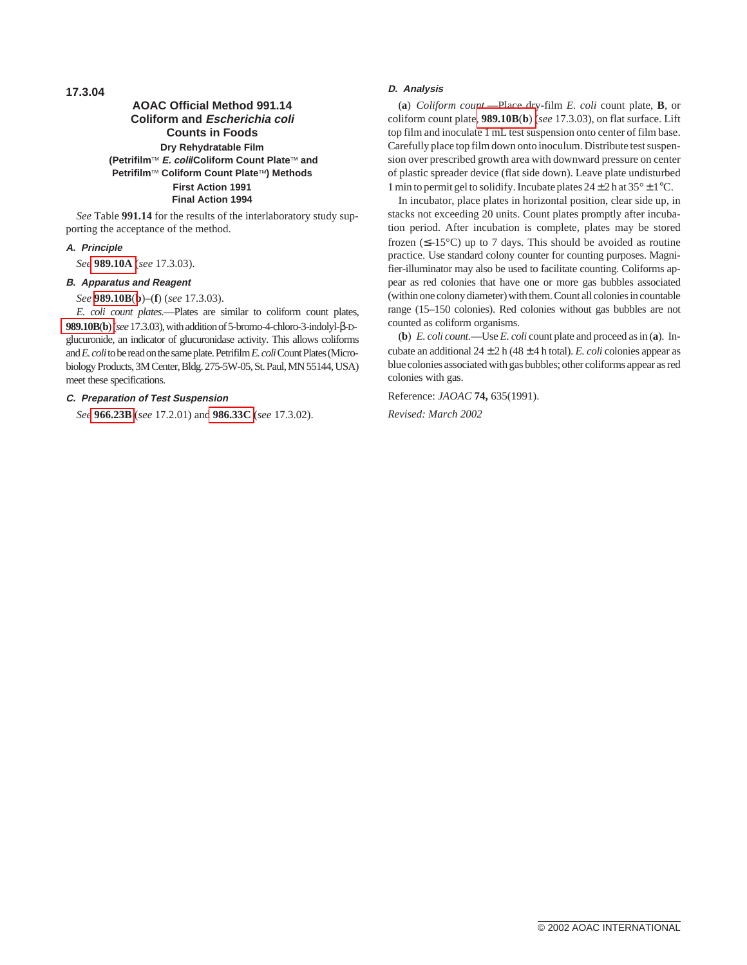**17.3.04**

# **AOAC Official Method 991.14 Coliform and Escherichia coli Counts in Foods Dry Rehydratable Film (Petrifilmä E. coli/Coliform Count Plateä and Petrifilmä Coliform Count Plateä) Methods First Action 1991 Final Action 1994**

*See* Table **991.14** for the results of the interlaboratory study supporting the acceptance of the method.

## **A. Principle**

*See* **989.10A** (*see* 17.3.03).

#### **B. Apparatus and Reagent**

*See* **989.10B**(**b**)–(**f**) (*see* 17.3.03).

*E. coli count plates.*—Plates are similar to coliform count plates, **989.10B**(**b**)(*see*17.3.03),withadditionof5-bromo-4-chloro-3-indolyl-β-Dglucuronide, an indicator of glucuronidase activity. This allows coliforms and *E. coli* to be read on the same plate. Petrifilm *E. coli* Count Plates (Microbiology Products, 3M Center, Bldg. 275-5W-05, St. Paul, MN 55144, USA) meet these specifications.

# **C. Preparation of Test Suspension**

*See* **966.23B** (*see* 17.2.01) and **986.33C** (*see* 17.3.02).

# **D. Analysis**

(**a**) *Coliform count.*—Place dry-film *E. coli* count plate, **B**, or coliform count plate, **989.10B**(**b**) (*see* 17.3.03), on flat surface. Lift top film and inoculate 1 mL test suspension onto center of film base. Carefully place top film down onto inoculum. Distribute test suspension over prescribed growth area with downward pressure on center of plastic spreader device (flat side down). Leave plate undisturbed 1 min to permit gel to solidify. Incubate plates  $24 \pm 2$  h at  $35^{\circ} \pm 1^{\circ}$ C.

In incubator, place plates in horizontal position, clear side up, in stacks not exceeding 20 units. Count plates promptly after incubation period. After incubation is complete, plates may be stored frozen  $(\leq -15^{\circ}\text{C})$  up to 7 days. This should be avoided as routine practice. Use standard colony counter for counting purposes. Magnifier-illuminator may also be used to facilitate counting. Coliforms appear as red colonies that have one or more gas bubbles associated (within one colony diameter) with them. Count all colonies in countable range (15–150 colonies). Red colonies without gas bubbles are not counted as coliform organisms.

(**b**) *E. coli count.*—Use *E. coli* count plate and proceed as in (**a**). Incubate an additional  $24 \pm 2$  h ( $48 \pm 4$  h total). *E. coli* colonies appear as blue colonies associated with gas bubbles; other coliforms appear as red colonies with gas.

Reference: *JAOAC* **74,** 635(1991).

*Revised: March 2002*